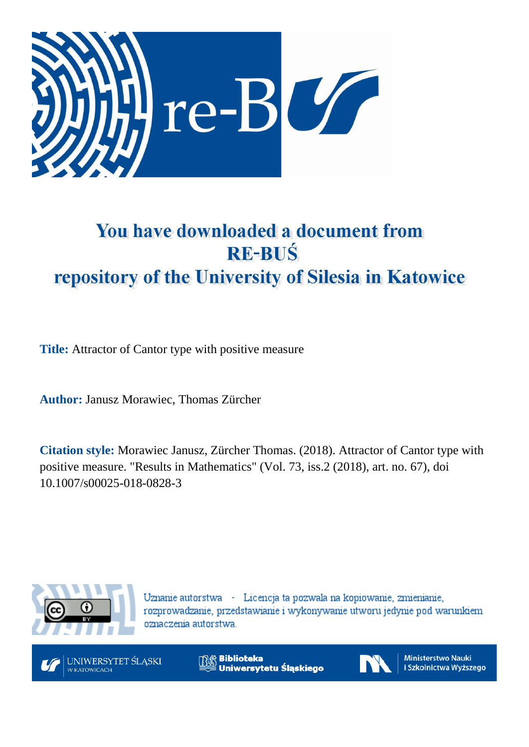

# You have downloaded a document from **RE-BUŚ** repository of the University of Silesia in Katowice

**Title:** Attractor of Cantor type with positive measure

**Author:** Janusz Morawiec, Thomas Zürcher

**Citation style:** Morawiec Janusz, Zürcher Thomas. (2018). Attractor of Cantor type with positive measure. "Results in Mathematics" (Vol. 73, iss.2 (2018), art. no. 67), doi 10.1007/s00025-018-0828-3



Uznanie autorstwa - Licencja ta pozwala na kopiowanie, zmienianie, rozprowadzanie, przedstawianie i wykonywanie utworu jedynie pod warunkiem oznaczenia autorstwa.



**Biblioteka** Uniwersytetu Śląskiego



**Ministerstwo Nauki** i Szkolnictwa Wyższego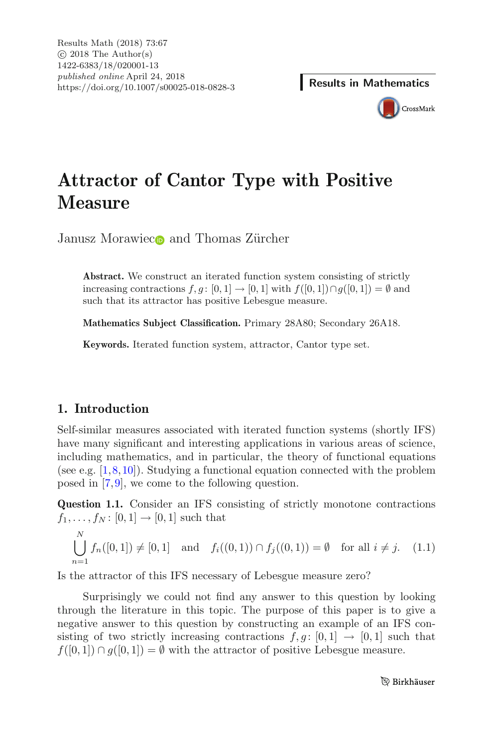

# **Attractor of Cantor Type with Positive Measure**

Janusz Morawie[c](http://orcid.org/0000-0002-0310-867X) $\bullet$  and Thomas Zürcher

**Abstract.** We construct an iterated function system consisting of strictly increasing contractions  $f, g : [0, 1] \rightarrow [0, 1]$  with  $f([0, 1]) \cap g([0, 1]) = \emptyset$  and such that its attractor has positive Lebesgue measure.

**Mathematics Subject Classification.** Primary 28A80; Secondary 26A18.

**Keywords.** Iterated function system, attractor, Cantor type set.

# **1. Introduction**

Self-similar measures associated with iterated function systems (shortly IFS) have many significant and interesting applications in various areas of science, including mathematics, and in particular, the theory of functional equations (see e.g.  $[1,8,10]$  $[1,8,10]$  $[1,8,10]$  $[1,8,10]$ ). Studying a functional equation connected with the problem posed in [\[7,](#page-12-3)[9](#page-12-4)], we come to the following question.

<span id="page-1-0"></span>**Question 1.1.** Consider an IFS consisting of strictly monotone contractions  $f_1, \ldots, f_N : [0, 1] \to [0, 1]$  such that

<span id="page-1-1"></span>
$$
\bigcup_{n=1}^{N} f_n([0,1]) \neq [0,1] \text{ and } f_i((0,1)) \cap f_j((0,1)) = \emptyset \text{ for all } i \neq j. \quad (1.1)
$$

Is the attractor of this IFS necessary of Lebesgue measure zero?

Surprisingly we could not find any answer to this question by looking through the literature in this topic. The purpose of this paper is to give a negative answer to this question by constructing an example of an IFS consisting of two strictly increasing contractions  $f,g:[0,1] \rightarrow [0,1]$  such that  $f([0, 1]) \cap g([0, 1]) = \emptyset$  with the attractor of positive Lebesgue measure.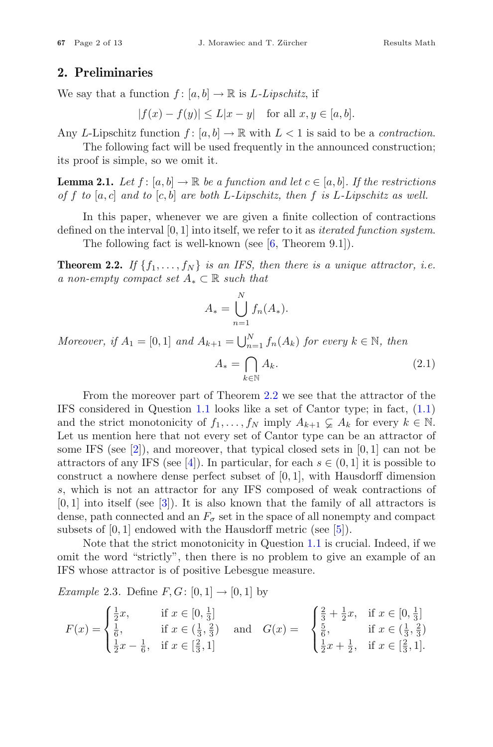## **2. Preliminaries**

We say that a function  $f : [a, b] \to \mathbb{R}$  is *L-Lipschitz*, if

 $|f(x) - f(y)| \le L|x - y|$  for all  $x, y \in [a, b]$ .

Any *L*-Lipschitz function  $f : [a, b] \to \mathbb{R}$  with  $L < 1$  is said to be a *contraction*.

The following fact will be used frequently in the announced construction; its proof is simple, so we omit it.

<span id="page-2-2"></span>**Lemma 2.1.** Let  $f : [a, b] \to \mathbb{R}$  be a function and let  $c \in [a, b]$ . If the restrictions *of* f *to* [a, c] *and to* [c, b] *are both* L*-Lipschitz, then* f *is* L*-Lipschitz as well.*

In this paper, whenever we are given a finite collection of contractions defined on the interval [0, 1] into itself, we refer to it as *iterated function system*.

The following fact is well-known (see  $[6,$  Theorem 9.1]).

<span id="page-2-0"></span>**Theorem 2.2.** If  $\{f_1, \ldots, f_N\}$  *is an IFS, then there is a unique attractor, i.e. a non-empty compact set* <sup>A</sup><sup>∗</sup> <sup>⊂</sup> <sup>R</sup> *such that*

$$
A_* = \bigcup_{n=1}^N f_n(A_*).
$$

*Moreover, if*  $A_1 = [0, 1]$  *and*  $A_{k+1} = \bigcup_{n=1}^{N} f_n(A_k)$  *for every*  $k \in \mathbb{N}$ *, then* 

<span id="page-2-1"></span>
$$
A_* = \bigcap_{k \in \mathbb{N}} A_k. \tag{2.1}
$$

From the moreover part of Theorem [2.2](#page-2-0) we see that the attractor of the IFS considered in Question [1.1](#page-1-0) looks like a set of Cantor type; in fact, [\(1.1\)](#page-1-1) and the strict monotonicity of  $f_1, \ldots, f_N$  imply  $A_{k+1} \subsetneq A_k$  for every  $k \in \mathbb{N}$ . Let us mention here that not every set of Cantor type can be an attractor of some IFS (see  $[2]$ ), and moreover, that typical closed sets in  $[0, 1]$  can not be attractors of any IFS (see [\[4](#page-12-8)]). In particular, for each  $s \in (0, 1]$  it is possible to construct a nowhere dense perfect subset of  $[0, 1]$ , with Hausdorff dimension s, which is not an attractor for any IFS composed of weak contractions of  $[0, 1]$  into itself (see  $[3]$  $[3]$ ). It is also known that the family of all attractors is dense, path connected and an  $F_{\sigma}$  set in the space of all nonempty and compact subsets of  $[0, 1]$  endowed with the Hausdorff metric (see  $[5]$ ).

Note that the strict monotonicity in Question [1.1](#page-1-0) is crucial. Indeed, if we omit the word "strictly", then there is no problem to give an example of an IFS whose attractor is of positive Lebesgue measure.

*Example* 2.3. Define  $F, G: [0,1] \rightarrow [0,1]$  by

$$
F(x) = \begin{cases} \frac{1}{2}x, & \text{if } x \in [0, \frac{1}{3}] \\ \frac{1}{6}, & \text{if } x \in (\frac{1}{3}, \frac{2}{3}) \\ \frac{1}{2}x - \frac{1}{6}, & \text{if } x \in [\frac{2}{3}, 1] \end{cases} \text{ and } G(x) = \begin{cases} \frac{2}{3} + \frac{1}{2}x, & \text{if } x \in [0, \frac{1}{3}] \\ \frac{5}{6}, & \text{if } x \in (\frac{1}{3}, \frac{2}{3}) \\ \frac{1}{2}x + \frac{1}{2}, & \text{if } x \in [\frac{2}{3}, 1]. \end{cases}
$$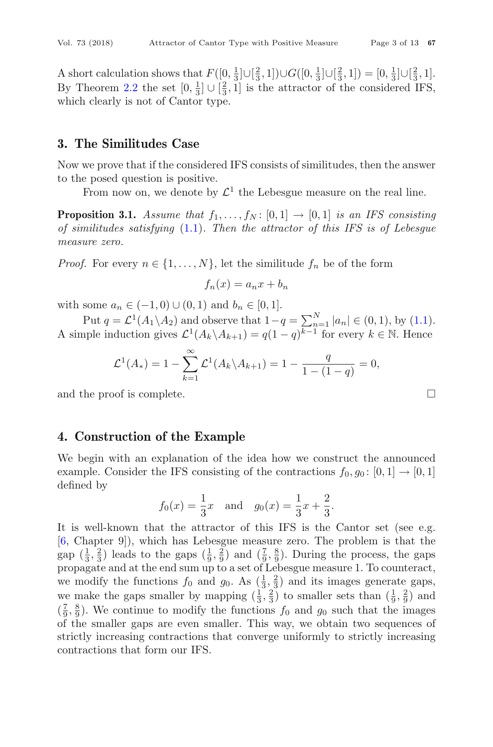A short calculation shows that  $F([0, \frac{1}{3}] \cup [\frac{2}{3}, 1]) \cup G([0, \frac{1}{3}] \cup [\frac{2}{3}, 1]) = [0, \frac{1}{3}] \cup [\frac{2}{3}, 1]$ . By Theorem [2.2](#page-2-0) the set  $[0, \frac{1}{3}] \cup [\frac{2}{3}, 1]$  is the attractor of the considered IFS, which clearly is not of Cantor type.

## **3. The Similitudes Case**

Now we prove that if the considered IFS consists of similitudes, then the answer to the posed question is positive.

From now on, we denote by  $\mathcal{L}^1$  the Lebesgue measure on the real line.

**Proposition 3.1.** *Assume that*  $f_1, \ldots, f_N$ : [0, 1]  $\rightarrow$  [0, 1] *is an IFS consisting of similitudes satisfying* [\(1.1\)](#page-1-1)*. Then the attractor of this IFS is of Lebesgue measure zero.*

*Proof.* For every  $n \in \{1, ..., N\}$ , let the similitude  $f_n$  be of the form

$$
f_n(x) = a_n x + b_n
$$

with some  $a_n \in (-1,0) \cup (0,1)$  and  $b_n \in [0,1]$ .

Put  $q = \mathcal{L}^1(A_1 \setminus A_2)$  and observe that  $1-q = \sum_{n=1}^N |a_n| \in (0,1)$ , by [\(1.1\)](#page-1-1). A simple induction gives  $\mathcal{L}^1(A_k \setminus A_{k+1}) = q(1-q)^{k-1}$  for every  $k \in \mathbb{N}$ . Hence

$$
\mathcal{L}^1(A_*) = 1 - \sum_{k=1}^{\infty} \mathcal{L}^1(A_k \setminus A_{k+1}) = 1 - \frac{q}{1 - (1 - q)} = 0,
$$

and the proof is complete.

# **4. Construction of the Example**

We begin with an explanation of the idea how we construct the announced example. Consider the IFS consisting of the contractions  $f_0, g_0: [0, 1] \rightarrow [0, 1]$ defined by

$$
f_0(x) = \frac{1}{3}x
$$
 and  $g_0(x) = \frac{1}{3}x + \frac{2}{3}$ .

It is well-known that the attractor of this IFS is the Cantor set (see e.g. [\[6,](#page-12-6) Chapter 9]), which has Lebesgue measure zero. The problem is that the gap  $(\frac{1}{3}, \frac{2}{3})$  leads to the gaps  $(\frac{1}{9}, \frac{2}{9})$  and  $(\frac{7}{9}, \frac{8}{9})$ . During the process, the gaps propagate and at the end sum up to a set of Lebesgue measure 1. To counteract, we modify the functions  $f_0$  and  $g_0$ . As  $\left(\frac{1}{3}, \frac{2}{3}\right)$  and its images generate gaps, we make the gaps smaller by mapping  $(\frac{1}{3}, \frac{2}{3})$  to smaller sets than  $(\frac{1}{9}, \frac{2}{9})$  and  $(\frac{7}{9}, \frac{8}{9})$ . We continue to modify the functions  $f_0$  and  $g_0$  such that the images of the smaller gaps are even smaller. This way, we obtain two sequences of strictly increasing contractions that converge uniformly to strictly increasing contractions that form our IFS.

$$
\Box
$$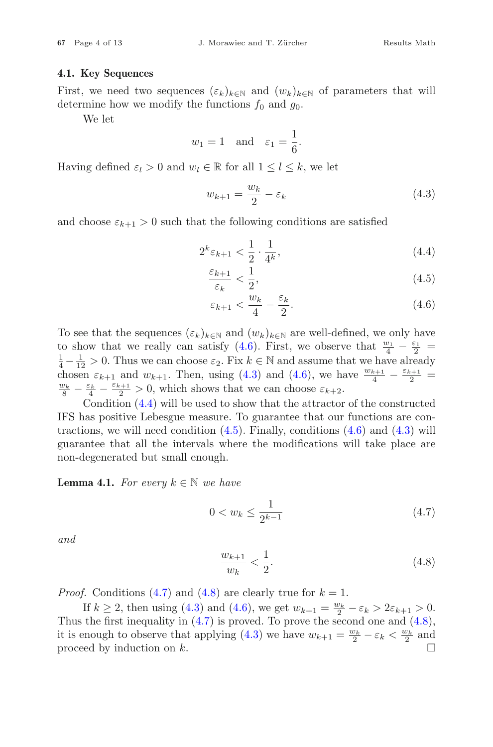#### **4.1. Key Sequences**

First, we need two sequences  $(\varepsilon_k)_{k\in\mathbb{N}}$  and  $(w_k)_{k\in\mathbb{N}}$  of parameters that will determine how we modify the functions  $f_0$  and  $g_0$ .

We let

$$
w_1 = 1
$$
 and  $\varepsilon_1 = \frac{1}{6}$ .

Having defined  $\varepsilon_l > 0$  and  $w_l \in \mathbb{R}$  for all  $1 \leq l \leq k$ , we let

<span id="page-4-1"></span>
$$
w_{k+1} = \frac{w_k}{2} - \varepsilon_k \tag{4.3}
$$

and choose  $\varepsilon_{k+1} > 0$  such that the following conditions are satisfied

$$
2^k \varepsilon_{k+1} < \frac{1}{2} \cdot \frac{1}{4^k},\tag{4.4}
$$

<span id="page-4-2"></span>
$$
\frac{\varepsilon_{k+1}}{\varepsilon_k} < \frac{1}{2},\tag{4.5}
$$

<span id="page-4-3"></span><span id="page-4-0"></span>
$$
\varepsilon_{k+1} < \frac{w_k}{4} - \frac{\varepsilon_k}{2}.\tag{4.6}
$$

To see that the sequences  $(\varepsilon_k)_{k\in\mathbb{N}}$  and  $(w_k)_{k\in\mathbb{N}}$  are well-defined, we only have to show that we really can satisfy  $(4.6)$ . First, we observe that  $\frac{w_1}{4} - \frac{\varepsilon_1}{2} =$ <br> $\frac{1}{4} - \frac{1}{4} > 0$ . Thus we can choose  $\varepsilon_2$ . Fix  $k \in \mathbb{N}$  and assume that we have already  $\frac{1}{4} - \frac{1}{12} > 0$ . Thus we can choose  $\varepsilon_2$ . Fix  $k \in \mathbb{N}$  and assume that we have already chosen  $\varepsilon_{k+1}$  and  $w_{k+1}$ . Then, using [\(4.3\)](#page-4-1) and [\(4.6\)](#page-4-0), we have  $\frac{w_{k+1}}{4} - \frac{\varepsilon_{k+1}}{2} = \frac{w_k}{2} - \frac{\varepsilon_{k+1}}{2} > 0$  which shows that we can choose  $\varepsilon_{k+1}$  $\frac{v_k}{8} - \frac{\varepsilon_k}{4} - \frac{\varepsilon_{k+1}}{2} > 0$ , which shows that we can choose  $\varepsilon_{k+2}$ .

Condition [\(4.4\)](#page-4-2) will be used to show that the attractor of the constructed IFS has positive Lebesgue measure. To guarantee that our functions are contractions, we will need condition  $(4.5)$ . Finally, conditions  $(4.6)$  and  $(4.3)$  will guarantee that all the intervals where the modifications will take place are non-degenerated but small enough.

<span id="page-4-6"></span>**Lemma 4.1.** *For every*  $k \in \mathbb{N}$  *we have* 

<span id="page-4-4"></span>
$$
0 < w_k \le \frac{1}{2^{k-1}} \tag{4.7}
$$

*and*

<span id="page-4-5"></span>
$$
\frac{w_{k+1}}{w_k} < \frac{1}{2}.\tag{4.8}
$$

*Proof.* Conditions [\(4.7\)](#page-4-4) and [\(4.8\)](#page-4-5) are clearly true for  $k = 1$ .

If  $k \ge 2$ , then using [\(4.3\)](#page-4-1) and [\(4.6\)](#page-4-0), we get  $w_{k+1} = \frac{w_k}{2} - \varepsilon_k > 2\varepsilon_{k+1} > 0$ . Thus the first inequality in  $(4.7)$  is proved. To prove the second one and  $(4.8)$ , it is enough to observe that applying [\(4.3\)](#page-4-1) we have  $w_{k+1} = \frac{w_k}{2} - \varepsilon_k < \frac{w_k}{2}$  and proceed by induction on k.  $\Box$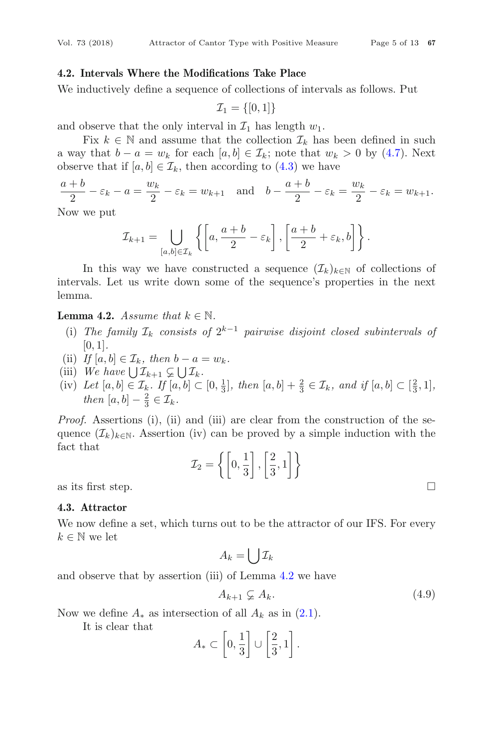#### **4.2. Intervals Where the Modifications Take Place**

We inductively define a sequence of collections of intervals as follows. Put

$$
\mathcal{I}_1 = \{[0,1]\}
$$

and observe that the only interval in  $\mathcal{I}_1$  has length  $w_1$ .

Fix  $k \in \mathbb{N}$  and assume that the collection  $\mathcal{I}_k$  has been defined in such a way that  $b - a = w_k$  for each  $[a, b] \in \mathcal{I}_k$ ; note that  $w_k > 0$  by [\(4.7\)](#page-4-4). Next observe that if  $[a, b] \in \mathcal{I}_k$ , then according to  $(4.3)$  we have

$$
\frac{a+b}{2} - \varepsilon_k - a = \frac{w_k}{2} - \varepsilon_k = w_{k+1} \quad \text{and} \quad b - \frac{a+b}{2} - \varepsilon_k = \frac{w_k}{2} - \varepsilon_k = w_{k+1}.
$$

Now we put

$$
\mathcal{I}_{k+1} = \bigcup_{[a,b] \in \mathcal{I}_k} \left\{ \left[ a, \frac{a+b}{2} - \varepsilon_k \right], \left[ \frac{a+b}{2} + \varepsilon_k, b \right] \right\}.
$$

In this way we have constructed a sequence  $(\mathcal{I}_k)_{k\in\mathbb{N}}$  of collections of intervals. Let us write down some of the sequence's properties in the next lemma.

#### <span id="page-5-0"></span>**Lemma 4.2.** *Assume that*  $k \in \mathbb{N}$ *.*

- (i) The family  $\mathcal{I}_k$  consists of  $2^{k-1}$  pairwise disjoint closed subintervals of [0, 1]*.*
- (ii) *If*  $[a, b] \in \mathcal{I}_k$ , then  $b a = w_k$ .
- (iii) *We have*  $\bigcup \mathcal{I}_{k+1} \subsetneq \bigcup \mathcal{I}_k$ .
- (iv) Let  $[a, b] \in \mathcal{I}_k$ . If  $[a, b] \subset [0, \frac{1}{3}]$ , then  $[a, b] + \frac{2}{3} \in \mathcal{I}_k$ , and if  $[a, b] \subset [\frac{2}{3}, 1]$ , *then*  $[a, b] - \frac{2}{3} \in \mathcal{I}_k$ .

*Proof.* Assertions (i), (ii) and (iii) are clear from the construction of the sequence  $(\mathcal{I}_k)_{k\in\mathbb{N}}$ . Assertion (iv) can be proved by a simple induction with the fact that

$$
{\cal I}_2=\left\{ \left[0,\frac{1}{3}\right],\left[\frac{2}{3},1\right]\right\}
$$

as its first step.  $\Box$ 

#### **4.3. Attractor**

We now define a set, which turns out to be the attractor of our IFS. For every  $k \in \mathbb{N}$  we let

$$
A_k = \bigcup \mathcal{I}_k
$$

and observe that by assertion (iii) of Lemma [4.2](#page-5-0) we have

<span id="page-5-1"></span>
$$
A_{k+1} \varsubsetneq A_k. \tag{4.9}
$$

Now we define  $A_*$  as intersection of all  $A_k$  as in  $(2.1)$ .

It is clear that

$$
A_* \subset \left[0, \frac{1}{3}\right] \cup \left[\frac{2}{3}, 1\right].
$$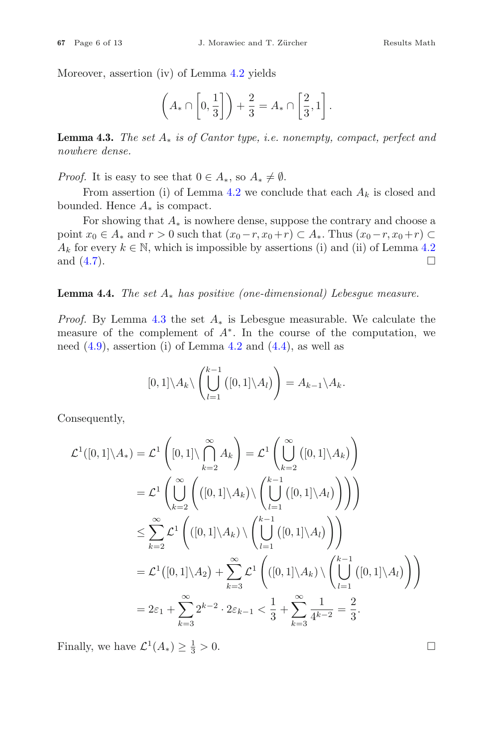Moreover, assertion (iv) of Lemma [4.2](#page-5-0) yields

$$
\left(A_* \cap \left[0, \frac{1}{3}\right]\right) + \frac{2}{3} = A_* \cap \left[\frac{2}{3}, 1\right].
$$

<span id="page-6-0"></span>**Lemma 4.3.** *The set* A<sup>∗</sup> *is of Cantor type, i.e. nonempty, compact, perfect and nowhere dense.*

*Proof.* It is easy to see that  $0 \in A_*$ , so  $A_* \neq \emptyset$ .

From assertion (i) of Lemma [4.2](#page-5-0) we conclude that each  $A_k$  is closed and bounded. Hence  $A_*$  is compact.

For showing that  $A_*$  is nowhere dense, suppose the contrary and choose a point  $x_0 \in A_*$  and  $r > 0$  such that  $(x_0-r, x_0+r) \subset A_*$ . Thus  $(x_0-r, x_0+r) \subset$  $A_k$  for every  $k \in \mathbb{N}$ , which is impossible by assertions (i) and (ii) of Lemma [4.2](#page-5-0) and (4.7). and  $(4.7)$ .

#### **Lemma 4.4.** *The set* A<sup>∗</sup> *has positive (one-dimensional) Lebesgue measure.*

*Proof.* By Lemma [4.3](#page-6-0) the set  $A_*$  is Lebesgue measurable. We calculate the measure of the complement of  $A^*$ . In the course of the computation, we need  $(4.9)$ , assertion (i) of Lemma [4.2](#page-5-0) and  $(4.4)$ , as well as

$$
[0,1]\setminus A_k\setminus \left(\bigcup_{l=1}^{k-1} ([0,1]\setminus A_l)\right) = A_{k-1}\setminus A_k.
$$

Consequently,

$$
\mathcal{L}^{1}([0,1]\setminus A_{*}) = \mathcal{L}^{1}\left([0,1]\setminus\bigcap_{k=2}^{\infty} A_{k}\right) = \mathcal{L}^{1}\left(\bigcup_{k=2}^{\infty} \left([0,1]\setminus A_{k}\right)\right)
$$
  
\n
$$
= \mathcal{L}^{1}\left(\bigcup_{k=2}^{\infty} \left(\left([0,1]\setminus A_{k}\right)\setminus\left(\bigcup_{l=1}^{k-1} \left([0,1]\setminus A_{l}\right)\right)\right)\right)
$$
  
\n
$$
\leq \sum_{k=2}^{\infty} \mathcal{L}^{1}\left(\left([0,1]\setminus A_{k}\right)\setminus\left(\bigcup_{l=1}^{k-1} \left([0,1]\setminus A_{l}\right)\right)\right)
$$
  
\n
$$
= \mathcal{L}^{1}\left([0,1]\setminus A_{2}\right) + \sum_{k=3}^{\infty} \mathcal{L}^{1}\left(\left([0,1]\setminus A_{k}\right)\setminus\left(\bigcup_{l=1}^{k-1} \left([0,1]\setminus A_{l}\right)\right)\right)
$$
  
\n
$$
= 2\varepsilon_{1} + \sum_{k=3}^{\infty} 2^{k-2} \cdot 2\varepsilon_{k-1} < \frac{1}{3} + \sum_{k=3}^{\infty} \frac{1}{4^{k-2}} = \frac{2}{3}.
$$

Finally, we have  $\mathcal{L}^1(A_*) \geq \frac{1}{3} > 0$ .  $\frac{1}{3} > 0.$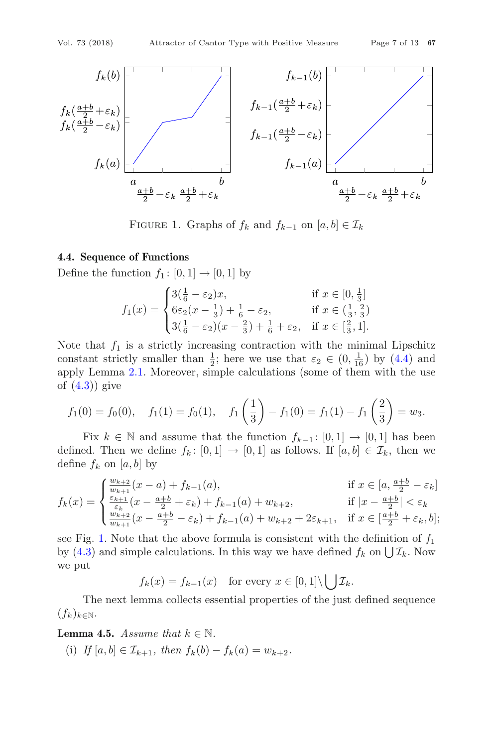

<span id="page-7-0"></span>FIGURE 1. Graphs of  $f_k$  and  $f_{k-1}$  on  $[a, b] \in \mathcal{I}_k$ 

#### **4.4. Sequence of Functions**

Define the function  $f_1: [0, 1] \rightarrow [0, 1]$  by

$$
f_1(x) = \begin{cases} 3(\frac{1}{6} - \varepsilon_2)x, & \text{if } x \in [0, \frac{1}{3}] \\ 6\varepsilon_2(x - \frac{1}{3}) + \frac{1}{6} - \varepsilon_2, & \text{if } x \in (\frac{1}{3}, \frac{2}{3}) \\ 3(\frac{1}{6} - \varepsilon_2)(x - \frac{2}{3}) + \frac{1}{6} + \varepsilon_2, & \text{if } x \in [\frac{2}{3}, 1]. \end{cases}
$$

Note that  $f_1$  is a strictly increasing contraction with the minimal Lipschitz constant strictly smaller than  $\frac{1}{2}$ ; here we use that  $\varepsilon_2 \in (0, \frac{1}{16})$  by [\(4.4\)](#page-4-2) and apply Lemma [2.1.](#page-2-2) Moreover, simple calculations (some of them with the use of  $(4.3)$ ) give

$$
f_1(0) = f_0(0)
$$
,  $f_1(1) = f_0(1)$ ,  $f_1\left(\frac{1}{3}\right) - f_1(0) = f_1(1) - f_1\left(\frac{2}{3}\right) = w_3$ .

Fix  $k \in \mathbb{N}$  and assume that the function  $f_{k-1}: [0,1] \to [0,1]$  has been defined. Then we define  $f_k: [0,1] \to [0,1]$  as follows. If  $[a, b] \in \mathcal{I}_k$ , then we define  $f_k$  on [a, b] by

$$
f_k(x) = \begin{cases} \frac{w_{k+2}}{w_{k+1}}(x-a) + f_{k-1}(a), & \text{if } x \in [a, \frac{a+b}{2} - \varepsilon_k] \\ \frac{\varepsilon_{k+1}}{\varepsilon_k}(x - \frac{a+b}{2} + \varepsilon_k) + f_{k-1}(a) + w_{k+2}, & \text{if } |x - \frac{a+b}{2}| < \varepsilon_k \\ \frac{w_{k+2}}{w_{k+1}}(x - \frac{a+b}{2} - \varepsilon_k) + f_{k-1}(a) + w_{k+2} + 2\varepsilon_{k+1}, & \text{if } x \in [\frac{a+b}{2} + \varepsilon_k, b]; \end{cases}
$$

see Fig. [1.](#page-7-0) Note that the above formula is consistent with the definition of  $f_1$ by [\(4.3\)](#page-4-1) and simple calculations. In this way we have defined  $f_k$  on  $\bigcup \mathcal{I}_k$ . Now we put

 $f_k(x) = f_{k-1}(x)$  for every  $x \in [0,1] \setminus \bigcup \mathcal{I}_k$ .

The next lemma collects essential properties of the just defined sequence  $(f_k)_{k\in\mathbb{N}}$ .

<span id="page-7-1"></span>**Lemma 4.5.** *Assume that*  $k \in \mathbb{N}$ *.* 

(i) *If*  $[a, b] \in \mathcal{I}_{k+1}$ , then  $f_k(b) - f_k(a) = w_{k+2}$ .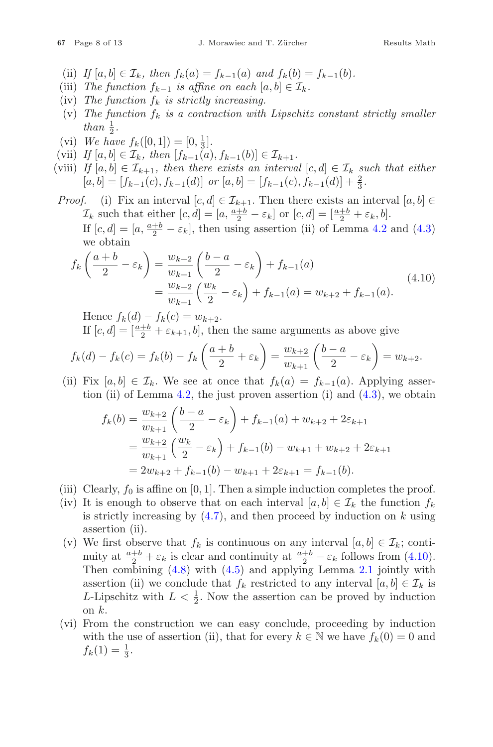- (ii) *If*  $[a, b] \in \mathcal{I}_k$ *, then*  $f_k(a) = f_{k-1}(a)$  *and*  $f_k(b) = f_{k-1}(b)$ *.*
- (iii) *The function*  $f_{k-1}$  *is affine on each*  $[a, b] \in \mathcal{I}_k$ *.*
- $(iv)$  *The function*  $f_k$  *is strictly increasing.*
- (v) The function  $f_k$  is a contraction with Lipschitz constant strictly smaller *than*  $\frac{1}{2}$ *.*
- (vi) *We have*  $f_k([0,1]) = [0, \frac{1}{3}]$ .
- (vii) *If*  $[a, b] \in \mathcal{I}_k$ , then  $[f_{k-1}(a), f_{k-1}(b)] \in \mathcal{I}_{k+1}$ .
- (viii) *If*  $[a, b] \in \mathcal{I}_{k+1}$ , then there exists an interval  $[c, d] \in \mathcal{I}_k$  *such that either*  $[a, b] = [f_{k-1}(c), f_{k-1}(d)]$  *or*  $[a, b] = [f_{k-1}(c), f_{k-1}(d)] + \frac{2}{3}$ .

*Proof.* (i) Fix an interval  $[c, d] \in \mathcal{I}_{k+1}$ . Then there exists an interval  $[a, b] \in$  $\mathcal{I}_k$  such that either  $[c, d] = [a, \frac{a+b}{2} - \varepsilon_k]$  or  $[c, d] = [\frac{a+b}{2} + \varepsilon_k, b]$ . If  $[c, d] = [a, \frac{a+b}{2} - \varepsilon_k]$ , then using assertion (ii) of Lemma [4.2](#page-5-0) and [\(4.3\)](#page-4-1) we obtain

<span id="page-8-0"></span>
$$
f_k\left(\frac{a+b}{2} - \varepsilon_k\right) = \frac{w_{k+2}}{w_{k+1}}\left(\frac{b-a}{2} - \varepsilon_k\right) + f_{k-1}(a)
$$
  
= 
$$
\frac{w_{k+2}}{w_{k+1}}\left(\frac{w_k}{2} - \varepsilon_k\right) + f_{k-1}(a) = w_{k+2} + f_{k-1}(a).
$$
 (4.10)

Hence  $f_k(d) - f_k(c) = w_{k+2}$ .

If  $[c, d] = \left[\frac{a+b}{2} + \varepsilon_{k+1}, b\right]$ , then the same arguments as above give

$$
f_k(d) - f_k(c) = f_k(b) - f_k\left(\frac{a+b}{2} + \varepsilon_k\right) = \frac{w_{k+2}}{w_{k+1}}\left(\frac{b-a}{2} - \varepsilon_k\right) = w_{k+2}.
$$

(ii) Fix  $[a, b] \in \mathcal{I}_k$ . We see at once that  $f_k(a) = f_{k-1}(a)$ . Applying asser-tion (ii) of Lemma [4.2,](#page-5-0) the just proven assertion (i) and  $(4.3)$ , we obtain

$$
f_k(b) = \frac{w_{k+2}}{w_{k+1}} \left( \frac{b-a}{2} - \varepsilon_k \right) + f_{k-1}(a) + w_{k+2} + 2\varepsilon_{k+1}
$$
  
= 
$$
\frac{w_{k+2}}{w_{k+1}} \left( \frac{w_k}{2} - \varepsilon_k \right) + f_{k-1}(b) - w_{k+1} + w_{k+2} + 2\varepsilon_{k+1}
$$
  
= 
$$
2w_{k+2} + f_{k-1}(b) - w_{k+1} + 2\varepsilon_{k+1} = f_{k-1}(b).
$$

- (iii) Clearly,  $f_0$  is affine on [0, 1]. Then a simple induction completes the proof.
- (iv) It is enough to observe that on each interval  $[a, b] \in \mathcal{I}_k$  the function  $f_k$ is strictly increasing by  $(4.7)$ , and then proceed by induction on k using assertion (ii).
- (v) We first observe that  $f_k$  is continuous on any interval  $[a, b] \in \mathcal{I}_k$ ; continuity at  $\frac{a+b}{2} + \varepsilon_k$  is clear and continuity at  $\frac{a+b}{2} - \varepsilon_k$  follows from [\(4.10\)](#page-8-0). Then combining [\(4.8\)](#page-4-5) with [\(4.5\)](#page-4-3) and applying Lemma [2.1](#page-2-2) jointly with assertion (ii) we conclude that  $f_k$  restricted to any interval  $[a, b] \in \mathcal{I}_k$  is *L*-Lipschitz with  $L < \frac{1}{2}$ . Now the assertion can be proved by induction on  $k$ .
- (vi) From the construction we can easy conclude, proceeding by induction with the use of assertion (ii), that for every  $k \in \mathbb{N}$  we have  $f_k(0) = 0$  and  $f_k(1) = \frac{1}{3}.$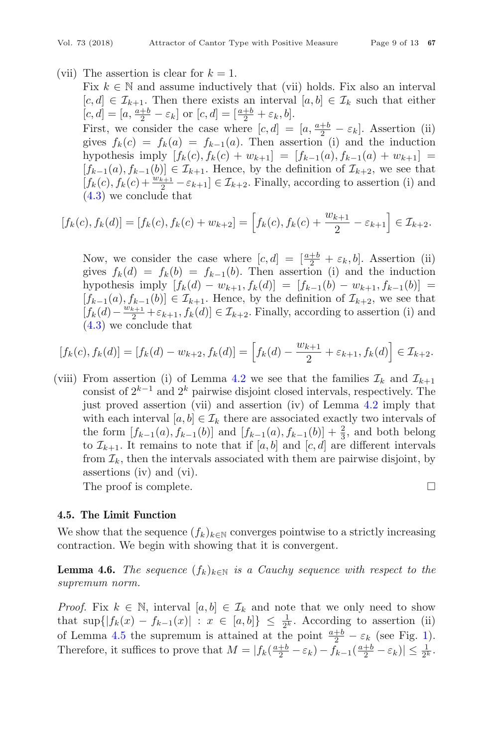(vii) The assertion is clear for  $k = 1$ .

Fix  $k \in \mathbb{N}$  and assume inductively that (vii) holds. Fix also an interval  $[c, d] \in \mathcal{I}_{k+1}$ . Then there exists an interval  $[a, b] \in \mathcal{I}_k$  such that either  $[c, d] = [a, \frac{a+b}{2} - \varepsilon_k]$  or  $[c, d] = [\frac{a+b}{2} + \varepsilon_k, b].$ First, we consider the case where  $[c, d] = [a, \frac{a+b}{2} - \varepsilon_k]$ . Assertion (ii) gives  $f_k(c) = f_k(a) = f_{k-1}(a)$ . Then assertion (i) and the induction hypothesis imply  $[f_k(c), f_k(c) + w_{k+1}] = [f_{k-1}(a), f_{k-1}(a) + w_{k+1}] =$  $[f_{k-1}(a), f_{k-1}(b)] \in \mathcal{I}_{k+1}$ . Hence, by the definition of  $\mathcal{I}_{k+2}$ , we see that  $[f_k(c), f_k(c) + \frac{w_{k+1}}{2} - \varepsilon_{k+1}] \in \mathcal{I}_{k+2}$ . Finally, according to assertion (i) and [\(4.3\)](#page-4-1) we conclude that

$$
[f_k(c), f_k(d)] = [f_k(c), f_k(c) + w_{k+2}] = \left[f_k(c), f_k(c) + \frac{w_{k+1}}{2} - \varepsilon_{k+1}\right] \in \mathcal{I}_{k+2}.
$$

Now, we consider the case where  $[c, d] = \left[\frac{a+b}{2} + \varepsilon_k, b\right]$ . Assertion (ii) gives  $f_k(d) = f_k(b) = f_{k-1}(b)$ . Then assertion (i) and the induction hypothesis imply  $[f_k(d) - w_{k+1}, f_k(d)] = [f_{k-1}(b) - w_{k+1}, f_{k-1}(b)] =$  $[f_{k-1}(a), f_{k-1}(b)] \in \mathcal{I}_{k+1}$ . Hence, by the definition of  $\mathcal{I}_{k+2}$ , we see that  $[f_k(d) - \frac{w_{k+1}}{2} + \varepsilon_{k+1}, f_k(d)] \in \mathcal{I}_{k+2}$ . Finally, according to assertion (i) and [\(4.3\)](#page-4-1) we conclude that

$$
[f_k(c), f_k(d)] = [f_k(d) - w_{k+2}, f_k(d)] = \left[ f_k(d) - \frac{w_{k+1}}{2} + \varepsilon_{k+1}, f_k(d) \right] \in \mathcal{I}_{k+2}.
$$

(viii) From assertion (i) of Lemma [4.2](#page-5-0) we see that the families  $\mathcal{I}_k$  and  $\mathcal{I}_{k+1}$ consist of  $2^{k-1}$  and  $2^k$  pairwise disjoint closed intervals, respectively. The just proved assertion (vii) and assertion (iv) of Lemma [4.2](#page-5-0) imply that with each interval  $[a, b] \in \mathcal{I}_k$  there are associated exactly two intervals of the form  $[f_{k-1}(a), f_{k-1}(b)]$  and  $[f_{k-1}(a), f_{k-1}(b)] + \frac{2}{3}$ , and both belong to  $\mathcal{I}_{k+1}$ . It remains to note that if [a, b] and [c, d] are different intervals from  $\mathcal{I}_k$ , then the intervals associated with them are pairwise disjoint, by assertions (iv) and (vi).

The proof is complete.

#### **4.5. The Limit Function**

We show that the sequence  $(f_k)_{k\in\mathbb{N}}$  converges pointwise to a strictly increasing contraction. We begin with showing that it is convergent.

<span id="page-9-0"></span>**Lemma 4.6.** *The sequence*  $(f_k)_{k \in \mathbb{N}}$  *is a Cauchy sequence with respect to the supremum norm.*

*Proof.* Fix  $k \in \mathbb{N}$ , interval  $[a, b] \in \mathcal{I}_k$  and note that we only need to show that  $\sup\{|f_k(x) - f_{k-1}(x)| : x \in [a, b]\} \leq \frac{1}{2^k}$ . According to assertion (ii) of Lemma [4.5](#page-7-1) the supremum is attained at the point  $\frac{a+b}{2} - \varepsilon_k$  (see Fig. [1\)](#page-7-0). Therefore, it suffices to prove that  $M = |f_k(\frac{a+b}{2} - \varepsilon_k) - f_{k-1}(\frac{a+b}{2} - \varepsilon_k)| \leq \frac{1}{2^k}$ .

 $\Box$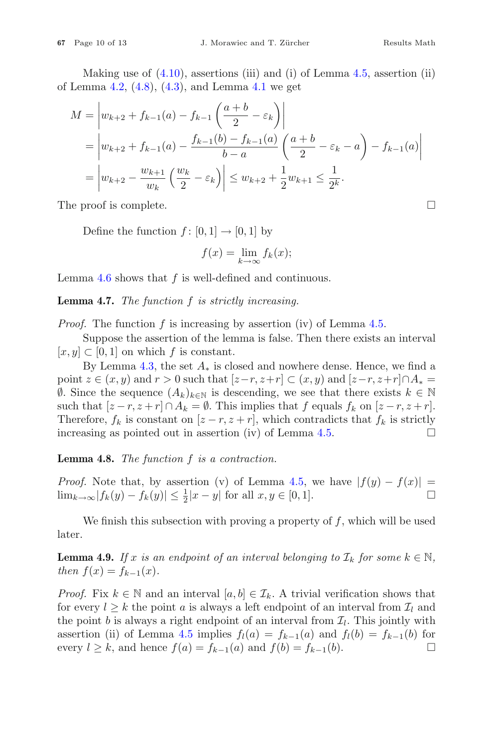Making use of  $(4.10)$ , assertions (iii) and (i) of Lemma  $4.5$ , assertion (ii) of Lemma [4.2,](#page-5-0)  $(4.8)$ ,  $(4.3)$ , and Lemma [4.1](#page-4-6) we get

$$
M = \left| w_{k+2} + f_{k-1}(a) - f_{k-1} \left( \frac{a+b}{2} - \varepsilon_k \right) \right|
$$
  
= 
$$
\left| w_{k+2} + f_{k-1}(a) - \frac{f_{k-1}(b) - f_{k-1}(a)}{b-a} \left( \frac{a+b}{2} - \varepsilon_k - a \right) - f_{k-1}(a) \right|
$$
  
= 
$$
\left| w_{k+2} - \frac{w_{k+1}}{w_k} \left( \frac{w_k}{2} - \varepsilon_k \right) \right| \le w_{k+2} + \frac{1}{2} w_{k+1} \le \frac{1}{2^k}.
$$

The proof is complete.  $\Box$ 

Define the function  $f : [0, 1] \rightarrow [0, 1]$  by

$$
f(x) = \lim_{k \to \infty} f_k(x);
$$

Lemma  $4.6$  shows that  $f$  is well-defined and continuous.

<span id="page-10-0"></span>**Lemma 4.7.** *The function* f *is strictly increasing.*

*Proof.* The function f is increasing by assertion (iv) of Lemma [4.5.](#page-7-1)

Suppose the assertion of the lemma is false. Then there exists an interval  $[x, y] \subset [0, 1]$  on which f is constant.

By Lemma [4.3,](#page-6-0) the set  $A_*$  is closed and nowhere dense. Hence, we find a point  $z \in (x, y)$  and  $r > 0$  such that  $[z - r, z + r] \subset (x, y)$  and  $[z - r, z + r] \cap A_* =$  $\emptyset$ . Since the sequence  $(A_k)_{k \in \mathbb{N}}$  is descending, we see that there exists  $k \in \mathbb{N}$ such that  $[z - r, z + r] \cap A_k = \emptyset$ . This implies that f equals  $f_k$  on  $[z - r, z + r]$ . Therefore,  $f_k$  is constant on  $[z - r, z + r]$ , which contradicts that  $f_k$  is strictly increasing as pointed out in assertion (iv) of Lemma 4.5. increasing as pointed out in assertion  $(iv)$  of Lemma [4.5.](#page-7-1)

<span id="page-10-1"></span>**Lemma 4.8.** *The function* f *is a contraction.*

*Proof.* Note that, by assertion (v) of Lemma [4.5,](#page-7-1) we have  $|f(y) - f(x)|$  =  $\lim_{k \to \infty} |f_k(y) - f_k(y)| \leq \frac{1}{2}|x - y|$  for all  $x, y \in [0, 1].$ 

We finish this subsection with proving a property of  $f$ , which will be used later.

<span id="page-10-2"></span>**Lemma 4.9.** *If* x *is an endpoint of an interval belonging to*  $\mathcal{I}_k$  *for some*  $k \in \mathbb{N}$ *, then*  $f(x) = f_{k-1}(x)$ .

*Proof.* Fix  $k \in \mathbb{N}$  and an interval  $[a, b] \in \mathcal{I}_k$ . A trivial verification shows that for every  $l \geq k$  the point a is always a left endpoint of an interval from  $\mathcal{I}_l$  and the point b is always a right endpoint of an interval from  $\mathcal{I}_l$ . This jointly with assertion (ii) of Lemma [4.5](#page-7-1) implies  $f_l(a) = f_{k-1}(a)$  and  $f_l(b) = f_{k-1}(b)$  for every  $l > k$ , and hence  $f(a) = f_{k-1}(a)$  and  $f(b) = f_{k-1}(b)$ . every  $l \geq k$ , and hence  $f(a) = f_{k-1}(a)$  and  $f(b) = f_{k-1}(b)$ .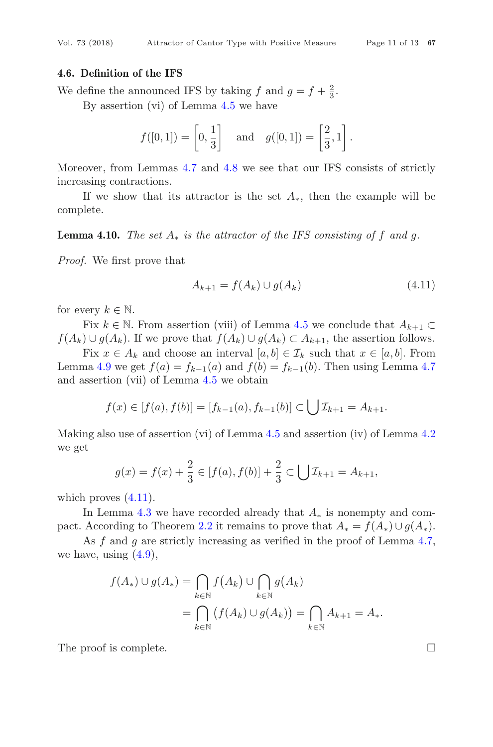#### **4.6. Definition of the IFS**

We define the announced IFS by taking f and  $g = f + \frac{2}{3}$ .

By assertion (vi) of Lemma [4.5](#page-7-1) we have

$$
f([0,1]) = \left[0, \frac{1}{3}\right] \quad \text{and} \quad g([0,1]) = \left[\frac{2}{3}, 1\right].
$$

Moreover, from Lemmas [4.7](#page-10-0) and [4.8](#page-10-1) we see that our IFS consists of strictly increasing contractions.

If we show that its attractor is the set  $A_*$ , then the example will be complete.

**Lemma 4.10.** *The set*  $A_*$  *is the attractor of the IFS consisting of f and q.* 

*Proof.* We first prove that

<span id="page-11-0"></span>
$$
A_{k+1} = f(A_k) \cup g(A_k)
$$
\n(4.11)

for every  $k \in \mathbb{N}$ .

Fix  $k \in \mathbb{N}$ . From assertion (viii) of Lemma [4.5](#page-7-1) we conclude that  $A_{k+1} \subset$  $f(A_k) \cup g(A_k)$ . If we prove that  $f(A_k) \cup g(A_k) \subset A_{k+1}$ , the assertion follows.

Fix  $x \in A_k$  and choose an interval  $[a, b] \in \mathcal{I}_k$  such that  $x \in [a, b]$ . From Lemma [4.9](#page-10-2) we get  $f(a) = f_{k-1}(a)$  and  $f(b) = f_{k-1}(b)$ . Then using Lemma [4.7](#page-10-0) and assertion (vii) of Lemma [4.5](#page-7-1) we obtain

$$
f(x) \in [f(a), f(b)] = [f_{k-1}(a), f_{k-1}(b)] \subset \bigcup \mathcal{I}_{k+1} = A_{k+1}.
$$

Making also use of assertion (vi) of Lemma [4.5](#page-7-1) and assertion (iv) of Lemma [4.2](#page-5-0) we get

$$
g(x) = f(x) + \frac{2}{3} \in [f(a), f(b)] + \frac{2}{3} \subset \bigcup \mathcal{I}_{k+1} = A_{k+1},
$$

which proves  $(4.11)$ .

In Lemma [4.3](#page-6-0) we have recorded already that  $A_*$  is nonempty and com-pact. According to Theorem [2.2](#page-2-0) it remains to prove that  $A_* = f(A_*) \cup g(A_*)$ .

As f and g are strictly increasing as verified in the proof of Lemma [4.7,](#page-10-0) we have, using  $(4.9)$ ,

$$
f(A_*) \cup g(A_*) = \bigcap_{k \in \mathbb{N}} f(A_k) \cup \bigcap_{k \in \mathbb{N}} g(A_k)
$$
  
= 
$$
\bigcap_{k \in \mathbb{N}} (f(A_k) \cup g(A_k)) = \bigcap_{k \in \mathbb{N}} A_{k+1} = A_*.
$$

The proof is complete.  $\Box$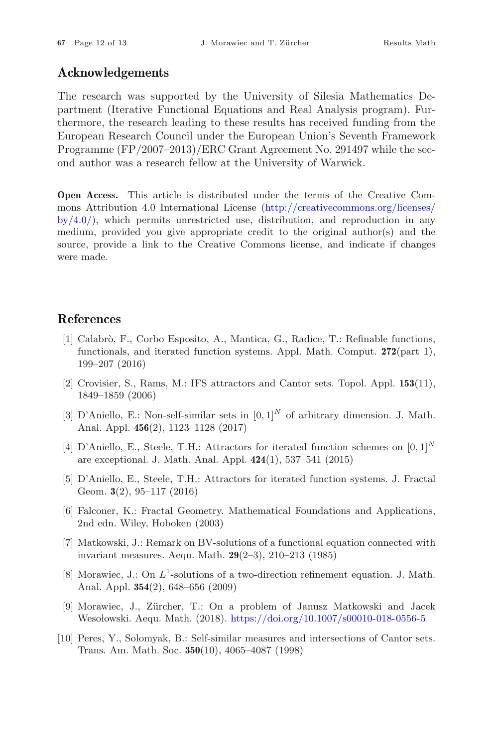# **Acknowledgements**

The research was supported by the University of Silesia Mathematics Department (Iterative Functional Equations and Real Analysis program). Furthermore, the research leading to these results has received funding from the European Research Council under the European Union's Seventh Framework Programme (FP/2007–2013)/ERC Grant Agreement No. 291497 while the second author was a research fellow at the University of Warwick.

**Open Access.** This article is distributed under the terms of the Creative Commons Attribution 4.0 International License [\(http://creativecommons.org/licenses/](http://creativecommons.org/licenses/by/4.0/)  $by/4.0$ , which permits unrestricted use, distribution, and reproduction in any medium, provided you give appropriate credit to the original author(s) and the source, provide a link to the Creative Commons license, and indicate if changes were made.

# <span id="page-12-5"></span>**References**

- <span id="page-12-0"></span>[1] Calabr`o, F., Corbo Esposito, A., Mantica, G., Radice, T.: Refinable functions, functionals, and iterated function systems. Appl. Math. Comput. **272**(part 1), 199–207 (2016)
- <span id="page-12-7"></span>[2] Crovisier, S., Rams, M.: IFS attractors and Cantor sets. Topol. Appl. **153**(11), 1849–1859 (2006)
- <span id="page-12-9"></span>[3] D'Aniello, E.: Non-self-similar sets in  $[0,1]^N$  of arbitrary dimension. J. Math. Anal. Appl. **456**(2), 1123–1128 (2017)
- <span id="page-12-8"></span>[4] D'Aniello, E., Steele, T.H.: Attractors for iterated function schemes on [0*,* 1]*<sup>N</sup>* are exceptional. J. Math. Anal. Appl. **424**(1), 537–541 (2015)
- <span id="page-12-10"></span>[5] D'Aniello, E., Steele, T.H.: Attractors for iterated function systems. J. Fractal Geom. **3**(2), 95–117 (2016)
- <span id="page-12-6"></span>[6] Falconer, K.: Fractal Geometry. Mathematical Foundations and Applications, 2nd edn. Wiley, Hoboken (2003)
- <span id="page-12-3"></span>[7] Matkowski, J.: Remark on BV-solutions of a functional equation connected with invariant measures. Aequ. Math. **29**(2–3), 210–213 (1985)
- <span id="page-12-1"></span>[8] Morawiec, J.: On  $L^1$ -solutions of a two-direction refinement equation. J. Math. Anal. Appl. **354**(2), 648–656 (2009)
- <span id="page-12-4"></span>[9] Morawiec, J., Z¨urcher, T.: On a problem of Janusz Matkowski and Jacek Wesołowski. Aequ. Math. (2018). <https://doi.org/10.1007/s00010-018-0556-5>
- <span id="page-12-2"></span>[10] Peres, Y., Solomyak, B.: Self-similar measures and intersections of Cantor sets. Trans. Am. Math. Soc. **350**(10), 4065–4087 (1998)